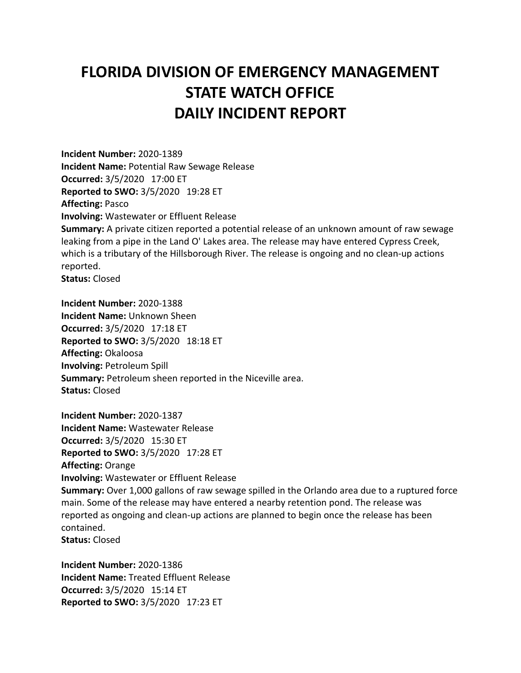## **FLORIDA DIVISION OF EMERGENCY MANAGEMENT STATE WATCH OFFICE DAILY INCIDENT REPORT**

**Incident Number:** 2020-1389 **Incident Name:** Potential Raw Sewage Release **Occurred:** 3/5/2020 17:00 ET **Reported to SWO:** 3/5/2020 19:28 ET **Affecting:** Pasco **Involving:** Wastewater or Effluent Release **Summary:** A private citizen reported a potential release of an unknown amount of raw sewage leaking from a pipe in the Land O' Lakes area. The release may have entered Cypress Creek, which is a tributary of the Hillsborough River. The release is ongoing and no clean-up actions reported. **Status:** Closed

**Incident Number:** 2020-1388 **Incident Name:** Unknown Sheen **Occurred:** 3/5/2020 17:18 ET **Reported to SWO:** 3/5/2020 18:18 ET **Affecting:** Okaloosa **Involving:** Petroleum Spill **Summary:** Petroleum sheen reported in the Niceville area. **Status:** Closed

**Incident Number:** 2020-1387 **Incident Name:** Wastewater Release **Occurred:** 3/5/2020 15:30 ET **Reported to SWO:** 3/5/2020 17:28 ET **Affecting:** Orange **Involving:** Wastewater or Effluent Release **Summary:** Over 1,000 gallons of raw sewage spilled in the Orlando area due to a ruptured force main. Some of the release may have entered a nearby retention pond. The release was reported as ongoing and clean-up actions are planned to begin once the release has been contained. **Status:** Closed

**Incident Number:** 2020-1386 **Incident Name:** Treated Effluent Release **Occurred:** 3/5/2020 15:14 ET **Reported to SWO:** 3/5/2020 17:23 ET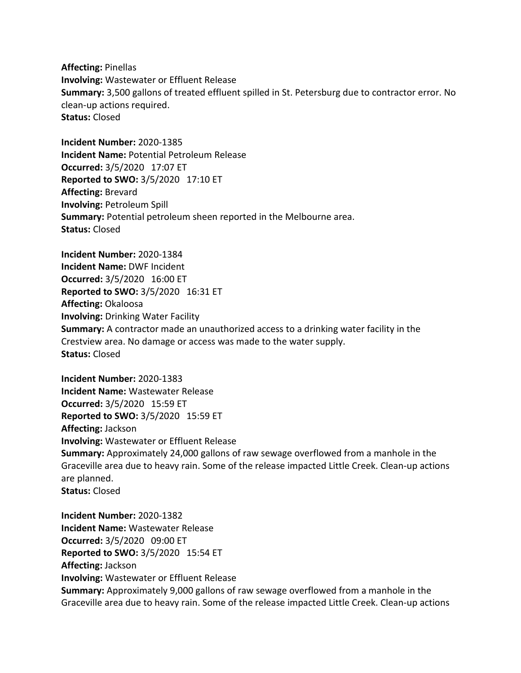**Affecting:** Pinellas **Involving:** Wastewater or Effluent Release **Summary:** 3,500 gallons of treated effluent spilled in St. Petersburg due to contractor error. No clean-up actions required. **Status:** Closed

**Incident Number:** 2020-1385 **Incident Name:** Potential Petroleum Release **Occurred:** 3/5/2020 17:07 ET **Reported to SWO:** 3/5/2020 17:10 ET **Affecting:** Brevard **Involving:** Petroleum Spill **Summary:** Potential petroleum sheen reported in the Melbourne area. **Status:** Closed

**Incident Number:** 2020-1384 **Incident Name:** DWF Incident **Occurred:** 3/5/2020 16:00 ET **Reported to SWO:** 3/5/2020 16:31 ET **Affecting:** Okaloosa **Involving:** Drinking Water Facility **Summary:** A contractor made an unauthorized access to a drinking water facility in the Crestview area. No damage or access was made to the water supply. **Status:** Closed

**Incident Number:** 2020-1383 **Incident Name:** Wastewater Release **Occurred:** 3/5/2020 15:59 ET **Reported to SWO:** 3/5/2020 15:59 ET **Affecting:** Jackson **Involving:** Wastewater or Effluent Release **Summary:** Approximately 24,000 gallons of raw sewage overflowed from a manhole in the Graceville area due to heavy rain. Some of the release impacted Little Creek. Clean-up actions are planned. **Status:** Closed

**Incident Number:** 2020-1382 **Incident Name:** Wastewater Release **Occurred:** 3/5/2020 09:00 ET **Reported to SWO:** 3/5/2020 15:54 ET **Affecting:** Jackson **Involving:** Wastewater or Effluent Release **Summary:** Approximately 9,000 gallons of raw sewage overflowed from a manhole in the Graceville area due to heavy rain. Some of the release impacted Little Creek. Clean-up actions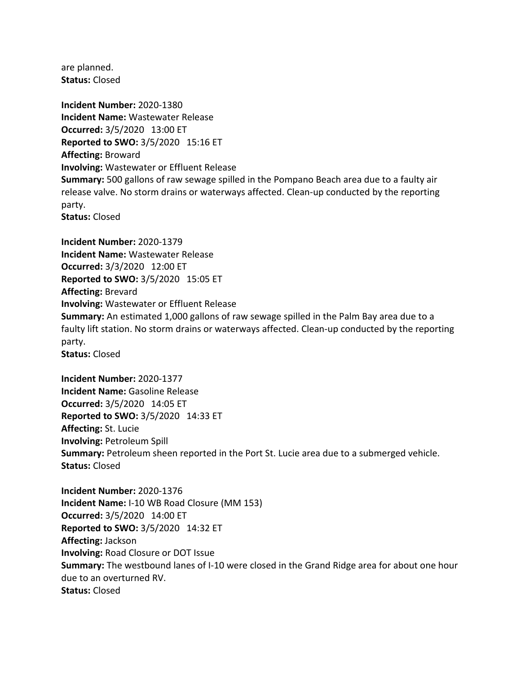are planned. **Status:** Closed

**Incident Number:** 2020-1380 **Incident Name:** Wastewater Release **Occurred:** 3/5/2020 13:00 ET **Reported to SWO:** 3/5/2020 15:16 ET **Affecting:** Broward **Involving:** Wastewater or Effluent Release **Summary:** 500 gallons of raw sewage spilled in the Pompano Beach area due to a faulty air release valve. No storm drains or waterways affected. Clean-up conducted by the reporting party. **Status:** Closed

**Incident Number:** 2020-1379 **Incident Name:** Wastewater Release **Occurred:** 3/3/2020 12:00 ET **Reported to SWO:** 3/5/2020 15:05 ET **Affecting:** Brevard **Involving:** Wastewater or Effluent Release **Summary:** An estimated 1,000 gallons of raw sewage spilled in the Palm Bay area due to a faulty lift station. No storm drains or waterways affected. Clean-up conducted by the reporting party. **Status:** Closed

**Incident Number:** 2020-1377 **Incident Name:** Gasoline Release **Occurred:** 3/5/2020 14:05 ET **Reported to SWO:** 3/5/2020 14:33 ET **Affecting:** St. Lucie **Involving:** Petroleum Spill **Summary:** Petroleum sheen reported in the Port St. Lucie area due to a submerged vehicle. **Status:** Closed

**Incident Number:** 2020-1376 **Incident Name:** I-10 WB Road Closure (MM 153) **Occurred:** 3/5/2020 14:00 ET **Reported to SWO:** 3/5/2020 14:32 ET **Affecting:** Jackson **Involving:** Road Closure or DOT Issue **Summary:** The westbound lanes of I-10 were closed in the Grand Ridge area for about one hour due to an overturned RV. **Status:** Closed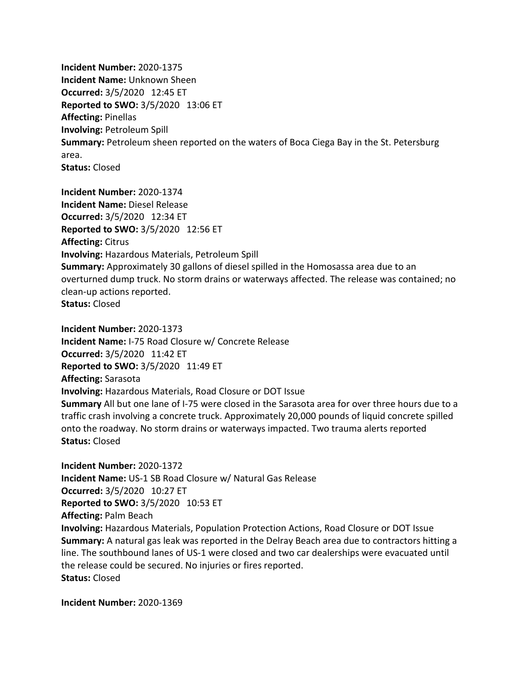**Incident Number:** 2020-1375 **Incident Name:** Unknown Sheen **Occurred:** 3/5/2020 12:45 ET **Reported to SWO:** 3/5/2020 13:06 ET **Affecting:** Pinellas **Involving:** Petroleum Spill **Summary:** Petroleum sheen reported on the waters of Boca Ciega Bay in the St. Petersburg area. **Status:** Closed

**Incident Number:** 2020-1374 **Incident Name:** Diesel Release **Occurred:** 3/5/2020 12:34 ET **Reported to SWO:** 3/5/2020 12:56 ET **Affecting:** Citrus **Involving:** Hazardous Materials, Petroleum Spill **Summary:** Approximately 30 gallons of diesel spilled in the Homosassa area due to an overturned dump truck. No storm drains or waterways affected. The release was contained; no clean-up actions reported. **Status:** Closed

**Incident Number:** 2020-1373 **Incident Name:** I-75 Road Closure w/ Concrete Release **Occurred:** 3/5/2020 11:42 ET **Reported to SWO:** 3/5/2020 11:49 ET **Affecting:** Sarasota **Involving:** Hazardous Materials, Road Closure or DOT Issue **Summary** All but one lane of I-75 were closed in the Sarasota area for over three hours due to a traffic crash involving a concrete truck. Approximately 20,000 pounds of liquid concrete spilled onto the roadway. No storm drains or waterways impacted. Two trauma alerts reported **Status:** Closed

**Incident Number:** 2020-1372 **Incident Name:** US-1 SB Road Closure w/ Natural Gas Release **Occurred:** 3/5/2020 10:27 ET **Reported to SWO:** 3/5/2020 10:53 ET **Affecting:** Palm Beach **Involving:** Hazardous Materials, Population Protection Actions, Road Closure or DOT Issue **Summary:** A natural gas leak was reported in the Delray Beach area due to contractors hitting a line. The southbound lanes of US-1 were closed and two car dealerships were evacuated until the release could be secured. No injuries or fires reported. **Status:** Closed

**Incident Number:** 2020-1369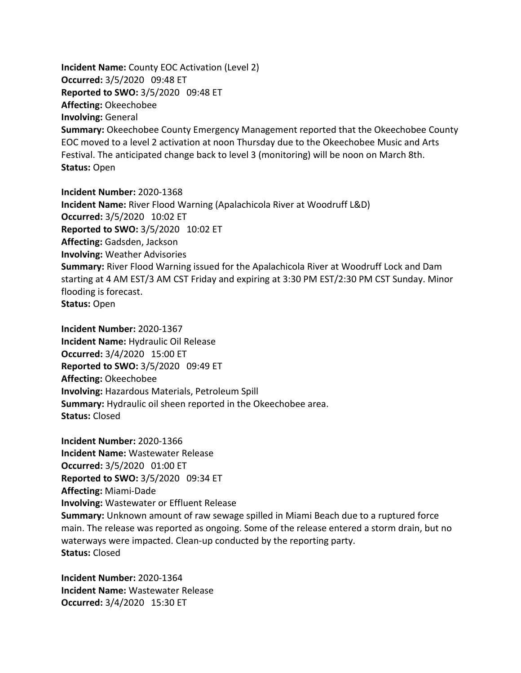**Incident Name:** County EOC Activation (Level 2) **Occurred:** 3/5/2020 09:48 ET **Reported to SWO:** 3/5/2020 09:48 ET **Affecting:** Okeechobee **Involving:** General **Summary:** Okeechobee County Emergency Management reported that the Okeechobee County EOC moved to a level 2 activation at noon Thursday due to the Okeechobee Music and Arts Festival. The anticipated change back to level 3 (monitoring) will be noon on March 8th. **Status:** Open

**Incident Number:** 2020-1368 **Incident Name:** River Flood Warning (Apalachicola River at Woodruff L&D) **Occurred:** 3/5/2020 10:02 ET **Reported to SWO:** 3/5/2020 10:02 ET **Affecting:** Gadsden, Jackson **Involving:** Weather Advisories **Summary:** River Flood Warning issued for the Apalachicola River at Woodruff Lock and Dam starting at 4 AM EST/3 AM CST Friday and expiring at 3:30 PM EST/2:30 PM CST Sunday. Minor flooding is forecast. **Status:** Open

**Incident Number:** 2020-1367 **Incident Name:** Hydraulic Oil Release **Occurred:** 3/4/2020 15:00 ET **Reported to SWO:** 3/5/2020 09:49 ET **Affecting:** Okeechobee **Involving:** Hazardous Materials, Petroleum Spill **Summary:** Hydraulic oil sheen reported in the Okeechobee area. **Status:** Closed

**Incident Number:** 2020-1366 **Incident Name:** Wastewater Release **Occurred:** 3/5/2020 01:00 ET **Reported to SWO:** 3/5/2020 09:34 ET **Affecting:** Miami-Dade **Involving:** Wastewater or Effluent Release **Summary:** Unknown amount of raw sewage spilled in Miami Beach due to a ruptured force main. The release was reported as ongoing. Some of the release entered a storm drain, but no waterways were impacted. Clean-up conducted by the reporting party. **Status:** Closed

**Incident Number:** 2020-1364 **Incident Name:** Wastewater Release **Occurred:** 3/4/2020 15:30 ET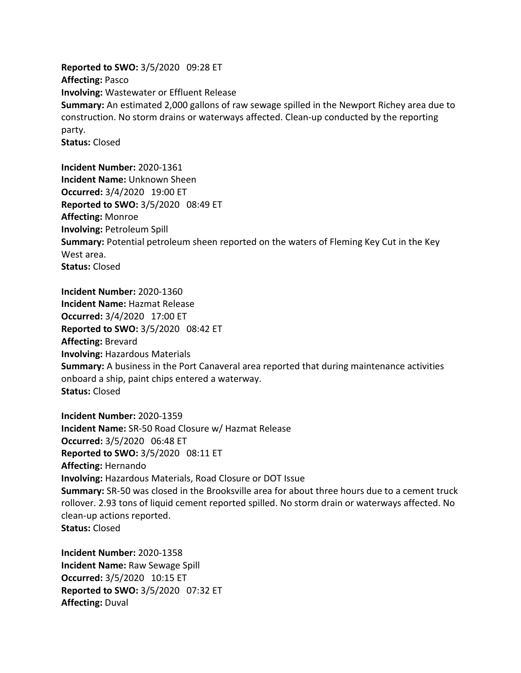**Reported to SWO:** 3/5/2020 09:28 ET **Affecting:** Pasco **Involving:** Wastewater or Effluent Release **Summary:** An estimated 2,000 gallons of raw sewage spilled in the Newport Richey area due to construction. No storm drains or waterways affected. Clean-up conducted by the reporting party. **Status:** Closed

**Incident Number:** 2020-1361 **Incident Name:** Unknown Sheen **Occurred:** 3/4/2020 19:00 ET **Reported to SWO:** 3/5/2020 08:49 ET **Affecting:** Monroe **Involving:** Petroleum Spill **Summary:** Potential petroleum sheen reported on the waters of Fleming Key Cut in the Key West area. **Status:** Closed

**Incident Number:** 2020-1360 **Incident Name:** Hazmat Release **Occurred:** 3/4/2020 17:00 ET **Reported to SWO:** 3/5/2020 08:42 ET **Affecting:** Brevard **Involving:** Hazardous Materials **Summary:** A business in the Port Canaveral area reported that during maintenance activities onboard a ship, paint chips entered a waterway. **Status:** Closed

**Incident Number:** 2020-1359 **Incident Name:** SR-50 Road Closure w/ Hazmat Release **Occurred:** 3/5/2020 06:48 ET **Reported to SWO:** 3/5/2020 08:11 ET **Affecting:** Hernando **Involving:** Hazardous Materials, Road Closure or DOT Issue **Summary:** SR-50 was closed in the Brooksville area for about three hours due to a cement truck rollover. 2.93 tons of liquid cement reported spilled. No storm drain or waterways affected. No clean-up actions reported. **Status:** Closed

**Incident Number:** 2020-1358 **Incident Name:** Raw Sewage Spill **Occurred:** 3/5/2020 10:15 ET **Reported to SWO:** 3/5/2020 07:32 ET **Affecting:** Duval